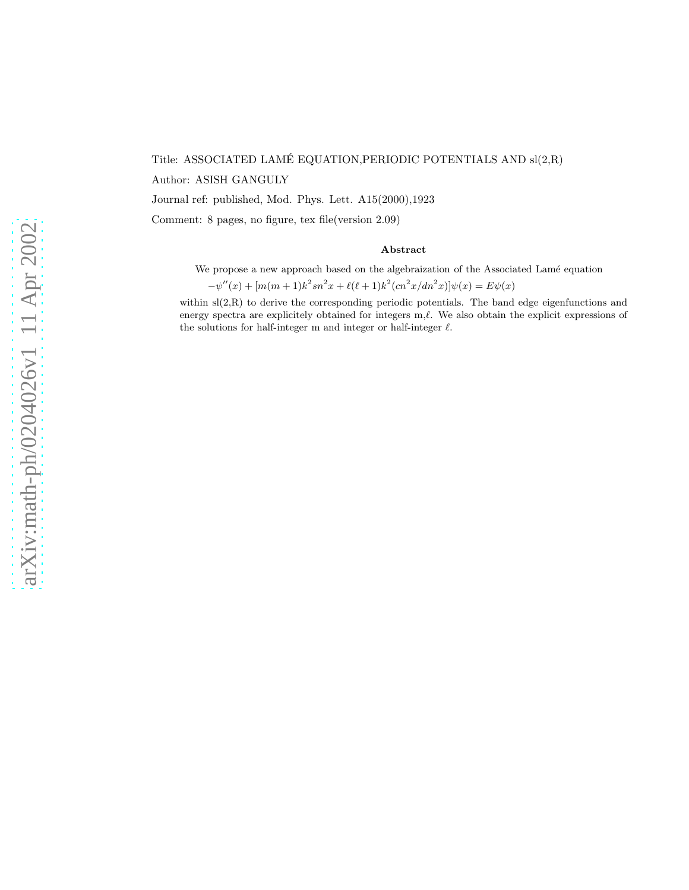# Title: ASSOCIATED LAME EQUATION,PERIODIC POTENTIALS AND sl(2,R) ´ Author: ASISH GANGULY Journal ref: published, Mod. Phys. Lett. A15(2000),1923

Comment: 8 pages, no figure, tex file(version 2.09)

#### Abstract

We propose a new approach based on the algebraization of the Associated Lamé equation

 $-\psi''(x) + [m(m+1)k^2sn^2x + \ell(\ell+1)k^2(cn^2x/dn^2x)]\psi(x) = E\psi(x)$ 

within  $sl(2,R)$  to derive the corresponding periodic potentials. The band edge eigenfunctions and energy spectra are explicitely obtained for integers m, $\ell$ . We also obtain the explicit expressions of the solutions for half-integer m and integer or half-integer  $\ell$ .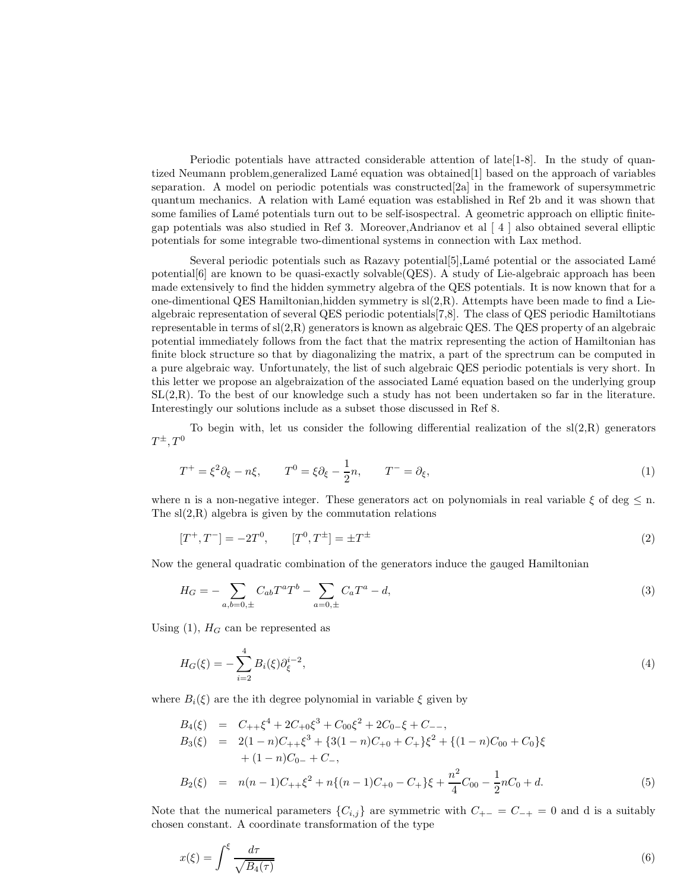Periodic potentials have attracted considerable attention of late[1-8]. In the study of quantized Neumann problem, generalized Lamé equation was obtained [1] based on the approach of variables separation. A model on periodic potentials was constructed[2a] in the framework of supersymmetric quantum mechanics. A relation with Lam´e equation was established in Ref 2b and it was shown that some families of Lamé potentials turn out to be self-isospectral. A geometric approach on elliptic finitegap potentials was also studied in Ref 3. Moreover,Andrianov et al [ 4 ] also obtained several elliptic potentials for some integrable two-dimentional systems in connection with Lax method.

Several periodic potentials such as Razavy potential $[5]$ , Lamé potential or the associated Lamé potential[6] are known to be quasi-exactly solvable(QES). A study of Lie-algebraic approach has been made extensively to find the hidden symmetry algebra of the QES potentials. It is now known that for a one-dimentional QES Hamiltonian, hidden symmetry is  $sl(2,R)$ . Attempts have been made to find a Liealgebraic representation of several QES periodic potentials[7,8]. The class of QES periodic Hamiltotians representable in terms of  $sl(2,R)$  generators is known as algebraic QES. The QES property of an algebraic potential immediately follows from the fact that the matrix representing the action of Hamiltonian has finite block structure so that by diagonalizing the matrix, a part of the sprectrum can be computed in a pure algebraic way. Unfortunately, the list of such algebraic QES periodic potentials is very short. In this letter we propose an algebraization of the associated Lamé equation based on the underlying group  $SL(2,R)$ . To the best of our knowledge such a study has not been undertaken so far in the literature. Interestingly our solutions include as a subset those discussed in Ref 8.

To begin with, let us consider the following differential realization of the  $sl(2,R)$  generators  $T^{\pm}, T^0$ 

$$
T^{+} = \xi^{2} \partial_{\xi} - n\xi, \qquad T^{0} = \xi \partial_{\xi} - \frac{1}{2}n, \qquad T^{-} = \partial_{\xi}, \tag{1}
$$

where n is a non-negative integer. These generators act on polynomials in real variable  $\xi$  of deg  $\leq$  n. The  $sl(2,R)$  algebra is given by the commutation relations

$$
[T^+, T^-] = -2T^0, \qquad [T^0, T^{\pm}] = \pm T^{\pm}
$$
\n<sup>(2)</sup>

Now the general quadratic combination of the generators induce the gauged Hamiltonian

$$
H_G = -\sum_{a,b=0,\pm} C_{ab} T^a T^b - \sum_{a=0,\pm} C_a T^a - d,\tag{3}
$$

Using (1),  $H_G$  can be represented as

$$
H_G(\xi) = -\sum_{i=2}^{4} B_i(\xi) \partial_{\xi}^{i-2},\tag{4}
$$

where  $B_i(\xi)$  are the ith degree polynomial in variable  $\xi$  given by

$$
B_4(\xi) = C_{++} \xi^4 + 2C_{+0} \xi^3 + C_{00} \xi^2 + 2C_0 \xi + C_{--},
$$
  
\n
$$
B_3(\xi) = 2(1 - n)C_{++} \xi^3 + \{3(1 - n)C_{+0} + C_{+}\} \xi^2 + \{(1 - n)C_{00} + C_0\} \xi
$$
  
\n
$$
+ (1 - n)C_{0-} + C_{-},
$$
  
\n
$$
B_2(\xi) = n(n - 1)C_{++} \xi^2 + n\{(n - 1)C_{+0} - C_{+}\} \xi + \frac{n^2}{4} C_{00} - \frac{1}{2} n C_0 + d.
$$
 (5)

Note that the numerical parameters  ${C_{i,j}}$  are symmetric with  $C_{+-} = C_{-+} = 0$  and d is a suitably chosen constant. A coordinate transformation of the type

$$
x(\xi) = \int^{\xi} \frac{d\tau}{\sqrt{B_4(\tau)}}\tag{6}
$$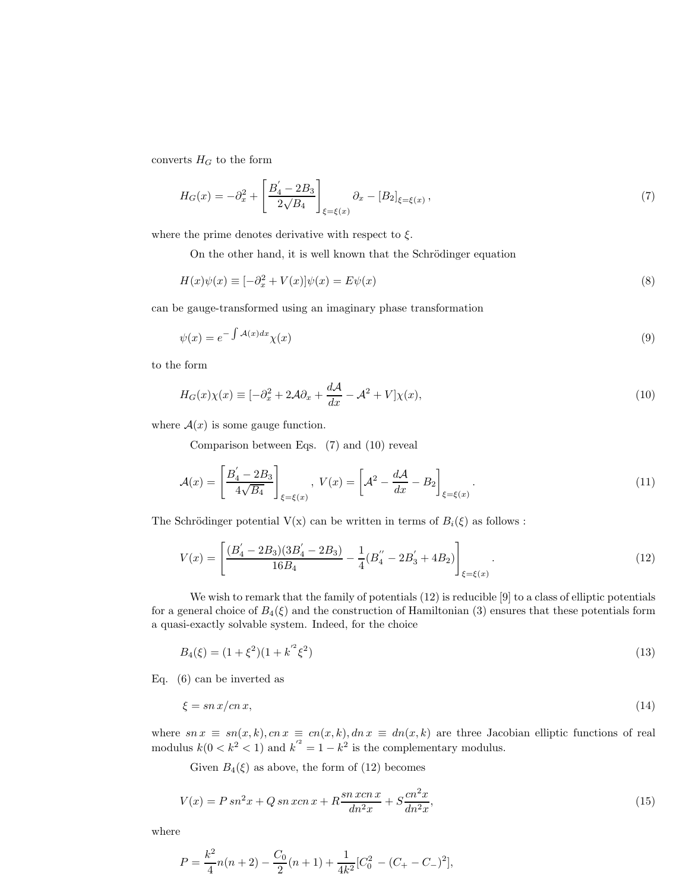converts  $H_G$  to the form

$$
H_G(x) = -\partial_x^2 + \left[\frac{B_4' - 2B_3}{2\sqrt{B_4}}\right]_{\xi = \xi(x)} \partial_x - [B_2]_{\xi = \xi(x)},
$$
\n(7)

where the prime denotes derivative with respect to  $\xi$ .

On the other hand, it is well known that the Schrödinger equation

$$
H(x)\psi(x) \equiv [-\partial_x^2 + V(x)]\psi(x) = E\psi(x)
$$
\n(8)

can be gauge-transformed using an imaginary phase transformation

$$
\psi(x) = e^{-\int \mathcal{A}(x)dx} \chi(x) \tag{9}
$$

to the form

$$
H_G(x)\chi(x) \equiv [-\partial_x^2 + 2\mathcal{A}\partial_x + \frac{d\mathcal{A}}{dx} - \mathcal{A}^2 + V]\chi(x),\tag{10}
$$

where  $A(x)$  is some gauge function.

Comparison between Eqs. (7) and (10) reveal

$$
\mathcal{A}(x) = \left[\frac{B_4' - 2B_3}{4\sqrt{B_4}}\right]_{\xi = \xi(x)}, \ V(x) = \left[\mathcal{A}^2 - \frac{d\mathcal{A}}{dx} - B_2\right]_{\xi = \xi(x)}.
$$
\n
$$
(11)
$$

The Schrödinger potential  $V(x)$  can be written in terms of  $B_i(\xi)$  as follows :

$$
V(x) = \left[ \frac{(B_4' - 2B_3)(3B_4' - 2B_3)}{16B_4} - \frac{1}{4}(B_4'' - 2B_3' + 4B_2) \right]_{\xi = \xi(x)}.
$$
\n(12)

We wish to remark that the family of potentials (12) is reducible [9] to a class of elliptic potentials for a general choice of  $B_4(\xi)$  and the construction of Hamiltonian (3) ensures that these potentials form a quasi-exactly solvable system. Indeed, for the choice

$$
B_4(\xi) = (1 + \xi^2)(1 + k^2 \xi^2) \tag{13}
$$

Eq. (6) can be inverted as

$$
\xi = \operatorname{sn} x / \operatorname{cn} x,\tag{14}
$$

where  $sn x \equiv sn(x, k), cn x \equiv cn(x, k), dn x \equiv dn(x, k)$  are three Jacobian elliptic functions of real modulus  $k(0 < k^2 < 1)$  and  $k'^2 = 1 - k^2$  is the complementary modulus.

Given  $B_4(\xi)$  as above, the form of (12) becomes

$$
V(x) = P \, sn^2 x + Q \, sn \, xcn \, x + R \frac{sn \, xcn \, x}{dn^2 x} + S \frac{cn^2 x}{dn^2 x},\tag{15}
$$

where

$$
P = \frac{k^2}{4}n(n+2) - \frac{C_0}{2}(n+1) + \frac{1}{4k^2}[C_0^2 - (C_+ - C_-)^2],
$$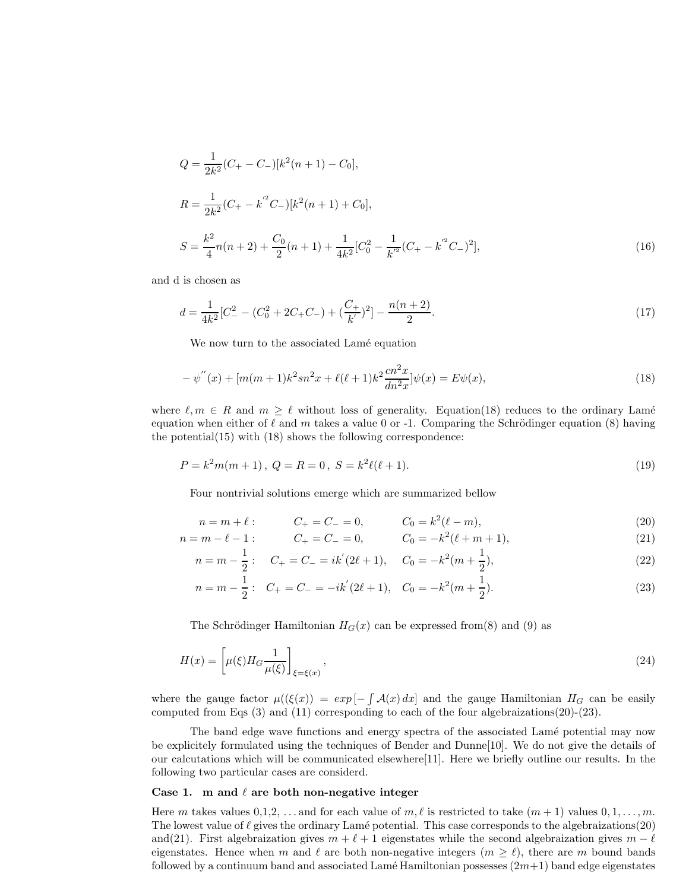$$
Q = \frac{1}{2k^2}(C_{+} - C_{-})[k^2(n+1) - C_0],
$$
  
\n
$$
R = \frac{1}{2k^2}(C_{+} - k^{'2}C_{-})[k^2(n+1) + C_0],
$$
  
\n
$$
S = \frac{k^2}{4}n(n+2) + \frac{C_0}{2}(n+1) + \frac{1}{4k^2}[C_0^2 - \frac{1}{k^{'2}}(C_{+} - k^{'2}C_{-})^2],
$$
\n(16)

and d is chosen as

$$
d = \frac{1}{4k^2} [C_-^2 - (C_0^2 + 2C_+C_-) + (\frac{C_+}{k'})^2] - \frac{n(n+2)}{2}.
$$
\n<sup>(17)</sup>

We now turn to the associated Lamé equation

$$
-\psi''(x) + [m(m+1)k^2sn^2x + \ell(\ell+1)k^2\frac{cn^2x}{dn^2x}]\psi(x) = E\psi(x),\tag{18}
$$

where  $\ell, m \in R$  and  $m \geq \ell$  without loss of generality. Equation(18) reduces to the ordinary Lamé equation when either of  $\ell$  and m takes a value 0 or -1. Comparing the Schrödinger equation (8) having the potential(15) with (18) shows the following correspondence:

$$
P = k2m(m + 1), Q = R = 0, S = k2\ell(\ell + 1).
$$
\n(19)

Four nontrivial solutions emerge which are summarized bellow

$$
n = m + \ell: \t C_+ = C_- = 0, \t C_0 = k^2(\ell - m), \t (20)
$$

$$
n = m - \ell - 1: \qquad C_+ = C_- = 0, \qquad C_0 = -k^2(\ell + m + 1), \tag{21}
$$

$$
n = m - \frac{1}{2} : C_{+} = C_{-} = ik'(2\ell + 1), C_{0} = -k^{2}(m + \frac{1}{2}),
$$
\n(22)

$$
n = m - \frac{1}{2} : C_{+} = C_{-} = -ik'(2\ell + 1), C_{0} = -k^{2}(m + \frac{1}{2}).
$$
\n(23)

The Schrödinger Hamiltonian  $H_G(x)$  can be expressed from (8) and (9) as

$$
H(x) = \left[\mu(\xi)H_G \frac{1}{\mu(\xi)}\right]_{\xi = \xi(x)},\tag{24}
$$

where the gauge factor  $\mu((\xi(x)) = exp[-\int \mathcal{A}(x) dx]$  and the gauge Hamiltonian  $H_G$  can be easily computed from Eqs (3) and (11) corresponding to each of the four algebraizations(20)-(23).

The band edge wave functions and energy spectra of the associated Lamé potential may now be explicitely formulated using the techniques of Bender and Dunne[10]. We do not give the details of our calcutations which will be communicated elsewhere[11]. Here we briefly outline our results. In the following two particular cases are considerd.

### Case 1. m and  $\ell$  are both non-negative integer

Here m takes values  $0,1,2,\ldots$  and for each value of  $m,\ell$  is restricted to take  $(m+1)$  values  $0,1,\ldots,m$ . The lowest value of  $\ell$  gives the ordinary Lamé potential. This case corresponds to the algebraizations(20) and(21). First algebraization gives  $m + \ell + 1$  eigenstates while the second algebraization gives  $m - \ell$ eigenstates. Hence when m and  $\ell$  are both non-negative integers  $(m \geq \ell)$ , there are m bound bands followed by a continuum band and associated Lamé Hamiltonian possesses  $(2m+1)$  band edge eigenstates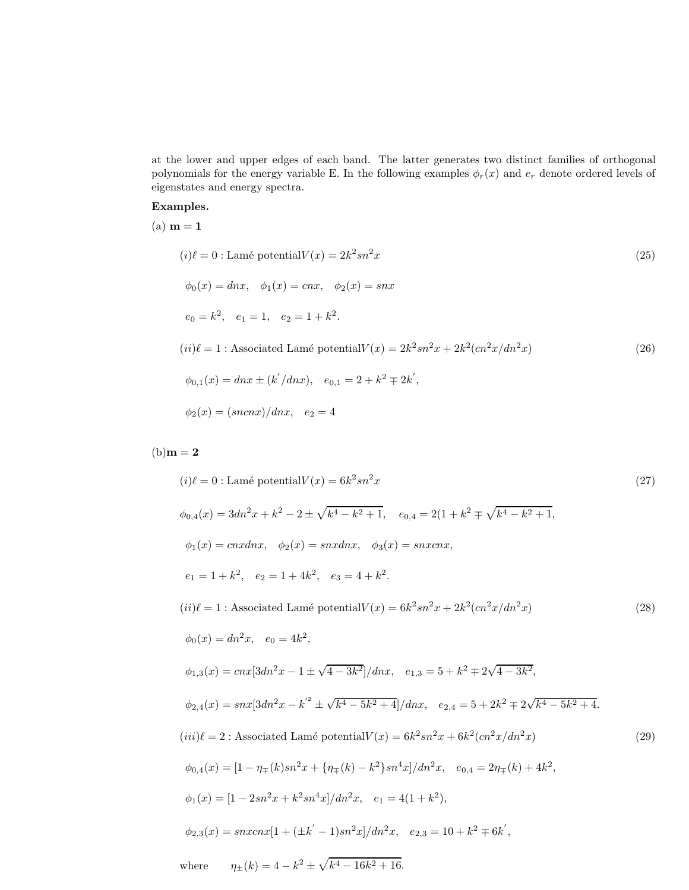at the lower and upper edges of each band. The latter generates two distinct families of orthogonal polynomials for the energy variable E. In the following examples  $\phi_r(x)$  and  $e_r$  denote ordered levels of eigenstates and energy spectra.

### Examples.

 $(a)$   $m = 1$ 

$$
(i) \ell = 0 : \text{Lamé potential} V(x) = 2k^2 sn^2 x \tag{25}
$$
\n
$$
\phi_0(x) = dnx, \quad \phi_1(x) = cnx, \quad \phi_2(x) = snx
$$
\n
$$
e_0 = k^2, \quad e_1 = 1, \quad e_2 = 1 + k^2.
$$
\n
$$
(ii) \ell = 1 : \text{Associated Lamé potential} V(x) = 2k^2 sn^2 x + 2k^2 (cn^2 x/dn^2 x) \tag{26}
$$
\n
$$
\phi_{0,1}(x) = dnx \pm (k'/dnx), \quad e_{0,1} = 2 + k^2 \mp 2k',
$$
\n
$$
\phi_2(x) = (sncnx)/dnx, \quad e_2 = 4
$$
\n
$$
(35)
$$

## $(b)$ m = 2

$$
(i) \ell = 0 : \text{Lamé potential} V(x) = 6k^2 sn^2 x
$$
\n
$$
\phi_{0,4}(x) = 3dn^2 x + k^2 - 2 \pm \sqrt{k^4 - k^2 + 1}, \quad e_{0,4} = 2(1 + k^2 \mp \sqrt{k^4 - k^2 + 1},
$$
\n
$$
\phi_1(x) = cnxdnx, \quad \phi_2(x) = snxdnx, \quad \phi_3(x) = snxcnx,
$$
\n
$$
e_1 = 1 + k^2, \quad e_2 = 1 + 4k^2, \quad e_3 = 4 + k^2.
$$
\n
$$
(ii) \ell = 1 : \text{Associated Lamé potential} V(x) = 6k^2 sn^2 x + 2k^2 (cn^2 x / dn^2 x)
$$
\n
$$
\phi_0(x) = dn^2 x, \quad e_0 = 4k^2,
$$
\n
$$
\phi_{1,3}(x) = cnx[3dn^2 x - 1 \pm \sqrt{4 - 3k^2}]/dnx, \quad e_{1,3} = 5 + k^2 \mp 2\sqrt{4 - 3k^2},
$$
\n
$$
\phi_{2,4}(x) = snx[3dn^2 x - k^2 \pm \sqrt{k^4 - 5k^2 + 4}]/dnx, \quad e_{2,4} = 5 + 2k^2 \mp 2\sqrt{k^4 - 5k^2 + 4}.
$$
\n
$$
(iii) \ell = 2 : \text{ Associated Lamé potential} V(x) = 6k^2 sn^2 x + 6k^2 (cn^2 x / dn^2 x)
$$
\n
$$
\phi_{0,4}(x) = [1 - \eta_{\mp}(k) sn^2 x + {\eta_{\mp}(k) - k^2} sn^4 x]/dn^2 x, \quad e_{0,4} = 2\eta_{\mp}(k) + 4k^2,
$$
\n
$$
\phi_1(x) = [1 - 2sn^2 x + k^2 sn^4 x]/dn^2 x, \quad e_1 = 4(1 + k^2),
$$
\n
$$
\phi_{2,3}(x) = snxcnx[1 + (\pm k' - 1)sn^2 x]/dn^2 x, \quad e_{2,3} = 10 + k^2 \mp 6k',
$$
\nwhere\n
$$
\eta_{\pm}(k) = 4 - k^2 \pm \sqrt{k^4 - 16k^2 + 16}.
$$
\n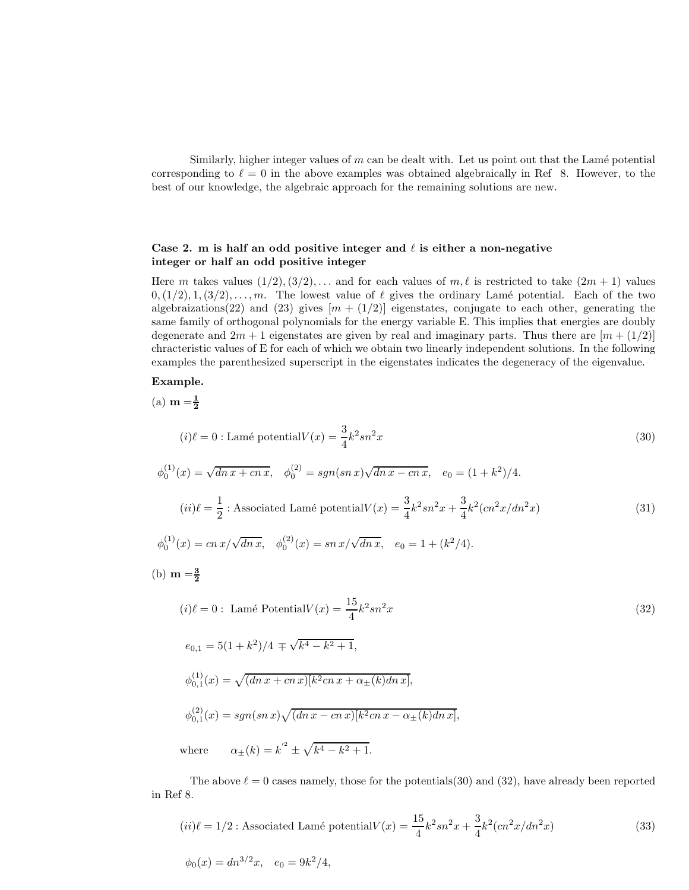Similarly, higher integer values of  $m$  can be dealt with. Let us point out that the Lamé potential corresponding to  $\ell = 0$  in the above examples was obtained algebraically in Ref 8. However, to the best of our knowledge, the algebraic approach for the remaining solutions are new.

### Case 2. m is half an odd positive integer and  $\ell$  is either a non-negative integer or half an odd positive integer

Here m takes values  $(1/2), (3/2), \ldots$  and for each values of  $m, \ell$  is restricted to take  $(2m + 1)$  values  $0, (1/2), 1, (3/2), \ldots, m$ . The lowest value of  $\ell$  gives the ordinary Lamé potential. Each of the two algebraizations(22) and (23) gives  $[m + (1/2)]$  eigenstates, conjugate to each other, generating the same family of orthogonal polynomials for the energy variable E. This implies that energies are doubly degenerate and  $2m + 1$  eigenstates are given by real and imaginary parts. Thus there are  $[m + (1/2)]$ chracteristic values of E for each of which we obtain two linearly independent solutions. In the following examples the parenthesized superscript in the eigenstates indicates the degeneracy of the eigenvalue.

### Example.

(a)  $m = \frac{1}{2}$ 

$$
(i) \ell = 0: \text{Lamé potential} V(x) = \frac{3}{4} k^2 s n^2 x \tag{30}
$$

$$
\phi_0^{(1)}(x) = \sqrt{dn \, x + cn \, x}, \quad \phi_0^{(2)} = sgn(s n \, x) \sqrt{dn \, x - cn \, x}, \quad e_0 = (1 + k^2)/4.
$$
\n
$$
(ii)\ell = \frac{1}{2} : \text{Associated Lam\'e potential} V(x) = \frac{3}{4}k^2 sn^2 x + \frac{3}{4}k^2 (cn^2 x/dn^2 x) \tag{31}
$$

$$
\phi_0^{(1)}(x) = cn \, x / \sqrt{dn \, x}, \quad \phi_0^{(2)}(x) = sn \, x / \sqrt{dn \, x}, \quad e_0 = 1 + (k^2 / 4).
$$

(b)  $m = \frac{3}{2}$ 

$$
(i) \ell = 0: \text{ Lamé Potential}V(x) = \frac{15}{4}k^2sn^2x
$$
\n
$$
e_{0,1} = 5(1+k^2)/4 \mp \sqrt{k^4 - k^2 + 1},
$$
\n
$$
\phi_{0,1}^{(1)}(x) = \sqrt{(dn\,x + cn\,x)[k^2cn\,x + \alpha_{\pm}(k)dn\,x]},
$$
\n
$$
\phi_{0,1}^{(2)}(x) = sgn(snx)\sqrt{(dn\,x - cn\,x)[k^2cn\,x - \alpha_{\pm}(k)dn\,x]},
$$
\nwhere\n
$$
\alpha_{\pm}(k) = k^2 \pm \sqrt{k^4 - k^2 + 1}.
$$
\n(32)

The above  $\ell = 0$  cases namely, those for the potentials(30) and (32), have already been reported in Ref 8.

$$
(ii) \ell = 1/2
$$
: Associated Lamé potential $V(x) = \frac{15}{4}k^2 sn^2 x + \frac{3}{4}k^2 (cn^2 x/dn^2 x)$  (33)

$$
\phi_0(x) = dn^{3/2}x, \quad e_0 = 9k^2/4,
$$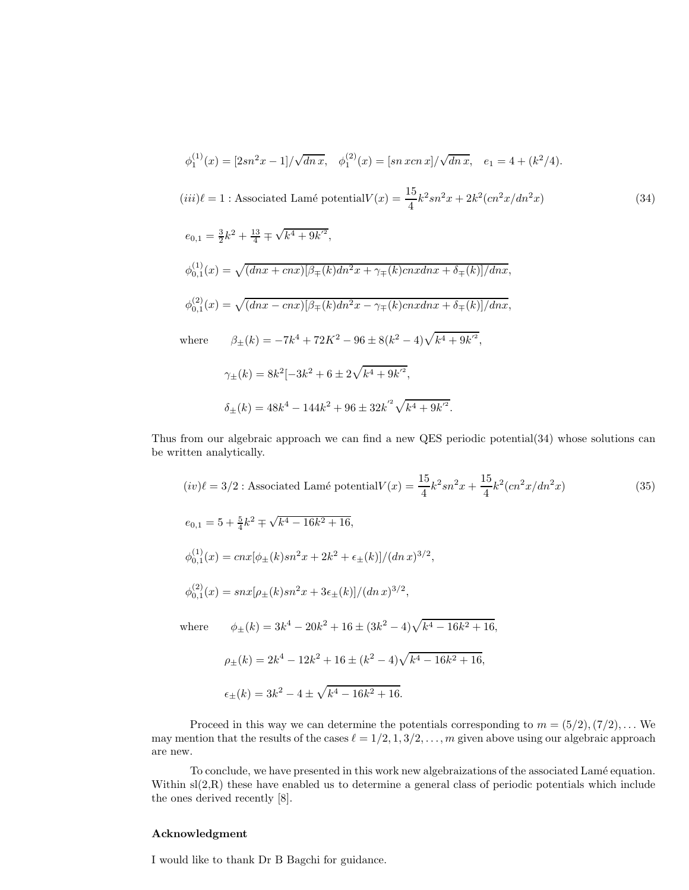$$
\phi_1^{(1)}(x) = [2sn^2x - 1] / \sqrt{dnx}, \quad \phi_1^{(2)}(x) = [sn\ xcn\ x] / \sqrt{dnx}, \quad e_1 = 4 + (k^2/4).
$$
  
\n
$$
(iii) \ell = 1 : \text{Associated Lamé potential} V(x) = \frac{15}{4} k^2 sn^2 x + 2k^2 (cn^2 x/dn^2 x)
$$
  
\n
$$
e_{0,1} = \frac{3}{2} k^2 + \frac{13}{4} \mp \sqrt{k^4 + 9k'^2},
$$
  
\n
$$
\phi_{0,1}^{(1)}(x) = \sqrt{(dnx + cnx)[\beta_{\mp}(k)dn^2 x + \gamma_{\mp}(k)cnxdnx + \delta_{\mp}(k)]/dnx},
$$
  
\n
$$
\phi_{0,1}^{(2)}(x) = \sqrt{(dnx - cnx)[\beta_{\mp}(k)dn^2 x - \gamma_{\mp}(k)cnxdnx + \delta_{\mp}(k)]/dnx},
$$
  
\nwhere  
\n
$$
\beta_{\pm}(k) = -7k^4 + 72K^2 - 96 \pm 8(k^2 - 4)\sqrt{k^4 + 9k'^2},
$$
  
\n
$$
\gamma_{\pm}(k) = 8k^2[-3k^2 + 6 \pm 2\sqrt{k^4 + 9k'^2},]
$$

$$
\delta_{\pm}(k)=48k^4-144k^2+96\pm32{k^{'}}^2\sqrt{k^4+9k^{'^2}}.
$$

Thus from our algebraic approach we can find a new QES periodic potential(34) whose solutions can be written analytically.

$$
(iv) \ell = 3/2 : \text{Associated Lamé potential} V(x) = \frac{15}{4} k^2 s n^2 x + \frac{15}{4} k^2 (c n^2 x / d n^2 x)
$$
\n
$$
e_{0,1} = 5 + \frac{5}{4} k^2 \mp \sqrt{k^4 - 16k^2 + 16},
$$
\n
$$
\phi_{0,1}^{(1)}(x) = c n x [\phi_{\pm}(k) s n^2 x + 2k^2 + \epsilon_{\pm}(k)] / (d n x)^{3/2},
$$
\n
$$
\phi_{0,1}^{(2)}(x) = s n x [\rho_{\pm}(k) s n^2 x + 3 \epsilon_{\pm}(k)] / (d n x)^{3/2},
$$
\nwhere\n
$$
\phi_{\pm}(k) = 3k^4 - 20k^2 + 16 \pm (3k^2 - 4) \sqrt{k^4 - 16k^2 + 16},
$$
\n
$$
\rho_{\pm}(k) = 2k^4 - 12k^2 + 16 \pm (k^2 - 4) \sqrt{k^4 - 16k^2 + 16},
$$
\n(14)

Proceed in this way we can determine the potentials corresponding to 
$$
m = (5/2), (7/2), ...
$$
 We may mention that the results of the cases  $\ell = 1/2, 1, 3/2, ..., m$  given above using our algebraic approach are new.

To conclude, we have presented in this work new algebraizations of the associated Lam´e equation. Within sl(2,R) these have enabled us to determine a general class of periodic potentials which include the ones derived recently [8].

### Acknowledgment

I would like to thank Dr B Bagchi for guidance.

 $\epsilon_{\pm}(k) = 3k^2 - 4 \pm \sqrt{k^4 - 16k^2 + 16}.$